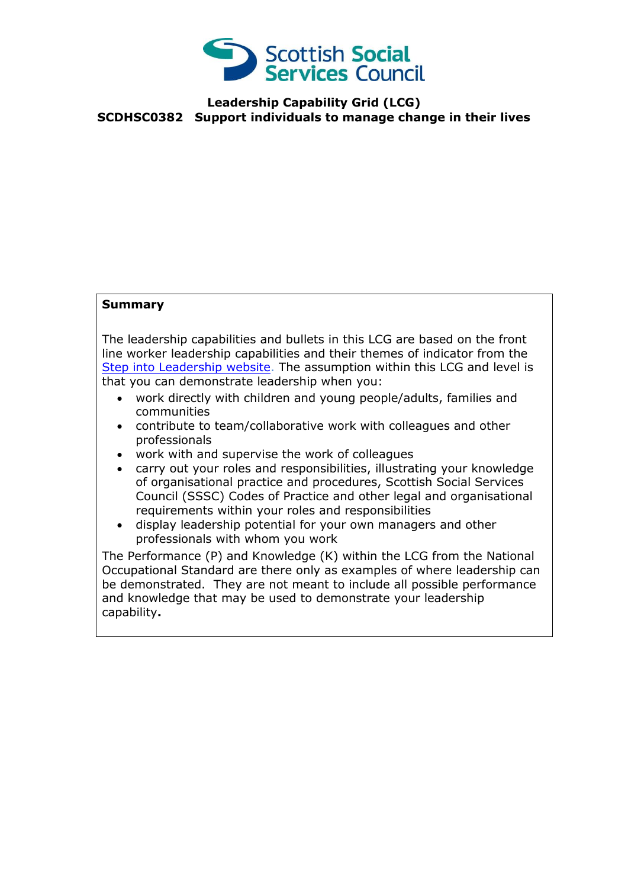

## **Leadership Capability Grid (LCG) SCDHSC0382 Support individuals to manage change in their lives**

## **Summary**

The leadership capabilities and bullets in this LCG are based on the front line worker leadership capabilities and their themes of indicator from the [Step into Leadership website.](http://www.stepintoleadership.info/) The assumption within this LCG and level is that you can demonstrate leadership when you:

- work directly with children and young people/adults, families and communities
- contribute to team/collaborative work with colleagues and other professionals
- work with and supervise the work of colleagues
- carry out your roles and responsibilities, illustrating your knowledge of organisational practice and procedures, Scottish Social Services Council (SSSC) Codes of Practice and other legal and organisational requirements within your roles and responsibilities
- display leadership potential for your own managers and other professionals with whom you work

The Performance (P) and Knowledge (K) within the LCG from the National Occupational Standard are there only as examples of where leadership can be demonstrated. They are not meant to include all possible performance and knowledge that may be used to demonstrate your leadership capability**.**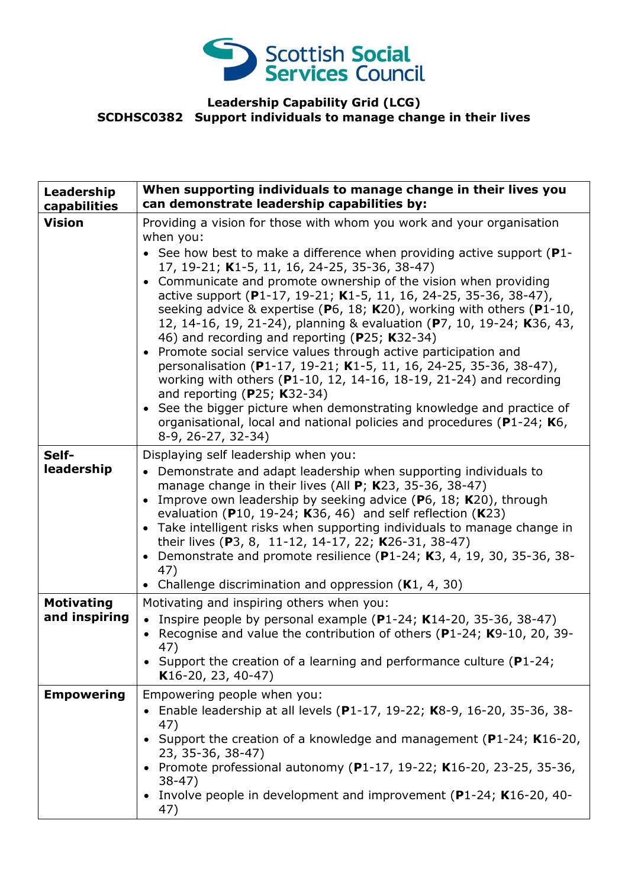

## **Leadership Capability Grid (LCG) SCDHSC0382 Support individuals to manage change in their lives**

| Leadership<br>capabilities         | When supporting individuals to manage change in their lives you<br>can demonstrate leadership capabilities by:                                                                                                                                                                                                                                                                                                                                                                                                                                                                                                                                                                                                                                                                                                                                                                                                                                                                                      |
|------------------------------------|-----------------------------------------------------------------------------------------------------------------------------------------------------------------------------------------------------------------------------------------------------------------------------------------------------------------------------------------------------------------------------------------------------------------------------------------------------------------------------------------------------------------------------------------------------------------------------------------------------------------------------------------------------------------------------------------------------------------------------------------------------------------------------------------------------------------------------------------------------------------------------------------------------------------------------------------------------------------------------------------------------|
| <b>Vision</b>                      | Providing a vision for those with whom you work and your organisation<br>when you:<br>• See how best to make a difference when providing active support ( $P1$ -<br>17, 19-21; K1-5, 11, 16, 24-25, 35-36, 38-47)<br>• Communicate and promote ownership of the vision when providing<br>active support (P1-17, 19-21; K1-5, 11, 16, 24-25, 35-36, 38-47),<br>seeking advice & expertise ( $P_6$ , 18; K20), working with others ( $P_1$ -10,<br>12, 14-16, 19, 21-24), planning & evaluation (P7, 10, 19-24; K36, 43,<br>46) and recording and reporting (P25; K32-34)<br>• Promote social service values through active participation and<br>personalisation (P1-17, 19-21; K1-5, 11, 16, 24-25, 35-36, 38-47),<br>working with others (P1-10, 12, 14-16, 18-19, 21-24) and recording<br>and reporting ( $P25$ ; K32-34)<br>• See the bigger picture when demonstrating knowledge and practice of<br>organisational, local and national policies and procedures (P1-24; K6,<br>8-9, 26-27, 32-34) |
| Self-<br>leadership                | Displaying self leadership when you:<br>• Demonstrate and adapt leadership when supporting individuals to<br>manage change in their lives (All $P$ ; K23, 35-36, 38-47)<br>Improve own leadership by seeking advice ( $P_6$ , 18; K20), through<br>$\bullet$<br>evaluation (P10, 19-24; K36, 46) and self reflection (K23)<br>• Take intelligent risks when supporting individuals to manage change in<br>their lives (P3, 8, 11-12, 14-17, 22; K26-31, 38-47)<br>Demonstrate and promote resilience (P1-24; K3, 4, 19, 30, 35-36, 38-<br>$\bullet$<br>47)<br>Challenge discrimination and oppression $(K1, 4, 30)$                                                                                                                                                                                                                                                                                                                                                                                 |
| <b>Motivating</b><br>and inspiring | Motivating and inspiring others when you:<br>• Inspire people by personal example (P1-24; K14-20, 35-36, 38-47)<br>• Recognise and value the contribution of others (P1-24; K9-10, 20, 39-<br>47)<br>Support the creation of a learning and performance culture ( $P1-24$ ;<br>$K16-20, 23, 40-47)$                                                                                                                                                                                                                                                                                                                                                                                                                                                                                                                                                                                                                                                                                                 |
| <b>Empowering</b>                  | Empowering people when you:<br>• Enable leadership at all levels (P1-17, 19-22; K8-9, 16-20, 35-36, 38-<br>47)<br>Support the creation of a knowledge and management (P1-24; K16-20,<br>23, 35-36, 38-47)<br>• Promote professional autonomy (P1-17, 19-22; K16-20, 23-25, 35-36,<br>$38-47)$<br>Involve people in development and improvement ( $P1-24$ ; K16-20, 40-<br>47)                                                                                                                                                                                                                                                                                                                                                                                                                                                                                                                                                                                                                       |